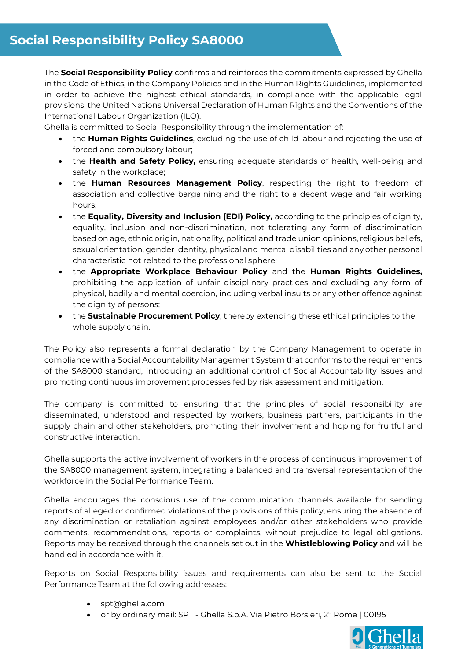The **Social Responsibility Policy** confirms and reinforces the commitments expressed by Ghella in the Code of Ethics, in the Company Policies and in the Human Rights Guidelines, implemented in order to achieve the highest ethical standards, in compliance with the applicable legal provisions, the United Nations Universal Declaration of Human Rights and the Conventions of the International Labour Organization (ILO).

Ghella is committed to Social Responsibility through the implementation of:

- the **Human Rights Guidelines**, excluding the use of child labour and rejecting the use of forced and compulsory labour;
- the **Health and Safety Policy,** ensuring adequate standards of health, well-being and safety in the workplace;
- the **Human Resources Management Policy**, respecting the right to freedom of association and collective bargaining and the right to a decent wage and fair working hours;
- the **Equality, Diversity and Inclusion (EDI) Policy,** according to the principles of dignity, equality, inclusion and non-discrimination, not tolerating any form of discrimination based on age, ethnic origin, nationality, political and trade union opinions, religious beliefs, sexual orientation, gender identity, physical and mental disabilities and any other personal characteristic not related to the professional sphere;
- the **Appropriate Workplace Behaviour Policy** and the **Human Rights Guidelines,** prohibiting the application of unfair disciplinary practices and excluding any form of physical, bodily and mental coercion, including verbal insults or any other offence against the dignity of persons;
- the **Sustainable Procurement Policy**, thereby extending these ethical principles to the whole supply chain.

The Policy also represents a formal declaration by the Company Management to operate in compliance with a Social Accountability Management System that conforms to the requirements of the SA8000 standard, introducing an additional control of Social Accountability issues and promoting continuous improvement processes fed by risk assessment and mitigation.

The company is committed to ensuring that the principles of social responsibility are disseminated, understood and respected by workers, business partners, participants in the supply chain and other stakeholders, promoting their involvement and hoping for fruitful and constructive interaction.

Ghella supports the active involvement of workers in the process of continuous improvement of the SA8000 management system, integrating a balanced and transversal representation of the workforce in the Social Performance Team.

Ghella encourages the conscious use of the communication channels available for sending reports of alleged or confirmed violations of the provisions of this policy, ensuring the absence of any discrimination or retaliation against employees and/or other stakeholders who provide comments, recommendations, reports or complaints, without prejudice to legal obligations. Reports may be received through the channels set out in the **Whistleblowing Policy** and will be handled in accordance with it.

Reports on Social Responsibility issues and requirements can also be sent to the Social Performance Team at the following addresses:

- spt@ghella.com
- or by ordinary mail: SPT Ghella S.p.A. Via Pietro Borsieri, 2° Rome | 00195